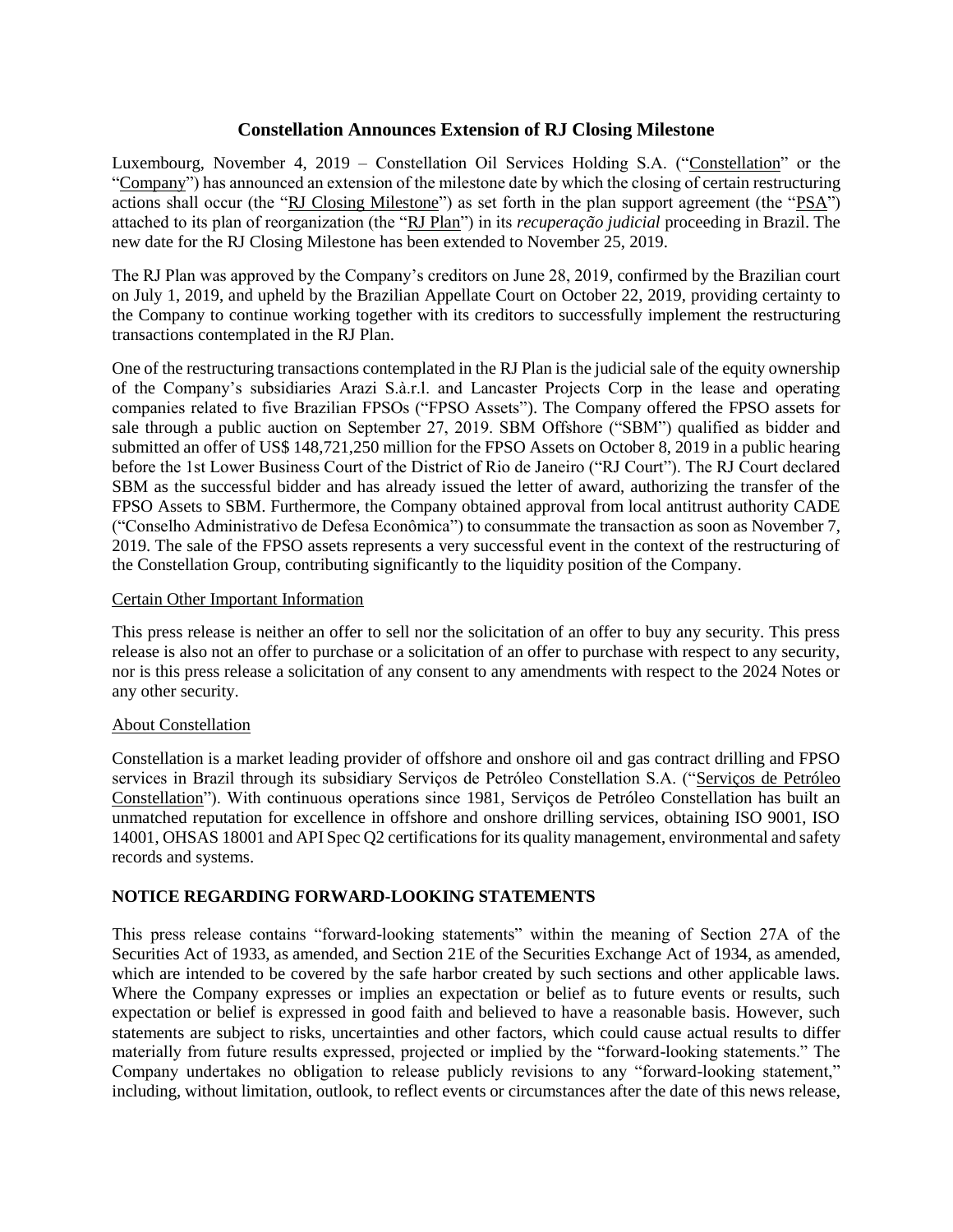## **Constellation Announces Extension of RJ Closing Milestone**

Luxembourg, November 4, 2019 – Constellation Oil Services Holding S.A. ("Constellation" or the "Company") has announced an extension of the milestone date by which the closing of certain restructuring actions shall occur (the "RJ Closing Milestone") as set forth in the plan support agreement (the "PSA") attached to its plan of reorganization (the "RJ Plan") in its *recuperação judicial* proceeding in Brazil. The new date for the RJ Closing Milestone has been extended to November 25, 2019.

The RJ Plan was approved by the Company's creditors on June 28, 2019, confirmed by the Brazilian court on July 1, 2019, and upheld by the Brazilian Appellate Court on October 22, 2019, providing certainty to the Company to continue working together with its creditors to successfully implement the restructuring transactions contemplated in the RJ Plan.

One of the restructuring transactions contemplated in the RJ Plan is the judicial sale of the equity ownership of the Company's subsidiaries Arazi S.à.r.l. and Lancaster Projects Corp in the lease and operating companies related to five Brazilian FPSOs ("FPSO Assets"). The Company offered the FPSO assets for sale through a public auction on September 27, 2019. SBM Offshore ("SBM") qualified as bidder and submitted an offer of US\$ 148,721,250 million for the FPSO Assets on October 8, 2019 in a public hearing before the 1st Lower Business Court of the District of Rio de Janeiro ("RJ Court"). The RJ Court declared SBM as the successful bidder and has already issued the letter of award, authorizing the transfer of the FPSO Assets to SBM. Furthermore, the Company obtained approval from local antitrust authority CADE ("Conselho Administrativo de Defesa Econômica") to consummate the transaction as soon as November 7, 2019. The sale of the FPSO assets represents a very successful event in the context of the restructuring of the Constellation Group, contributing significantly to the liquidity position of the Company.

## Certain Other Important Information

This press release is neither an offer to sell nor the solicitation of an offer to buy any security. This press release is also not an offer to purchase or a solicitation of an offer to purchase with respect to any security, nor is this press release a solicitation of any consent to any amendments with respect to the 2024 Notes or any other security.

## About Constellation

Constellation is a market leading provider of offshore and onshore oil and gas contract drilling and FPSO services in Brazil through its subsidiary Serviços de Petróleo Constellation S.A. ("Serviços de Petróleo Constellation"). With continuous operations since 1981, Serviços de Petróleo Constellation has built an unmatched reputation for excellence in offshore and onshore drilling services, obtaining ISO 9001, ISO 14001, OHSAS 18001 and API Spec Q2 certifications for its quality management, environmental and safety records and systems.

## **NOTICE REGARDING FORWARD-LOOKING STATEMENTS**

This press release contains "forward-looking statements" within the meaning of Section 27A of the Securities Act of 1933, as amended, and Section 21E of the Securities Exchange Act of 1934, as amended, which are intended to be covered by the safe harbor created by such sections and other applicable laws. Where the Company expresses or implies an expectation or belief as to future events or results, such expectation or belief is expressed in good faith and believed to have a reasonable basis. However, such statements are subject to risks, uncertainties and other factors, which could cause actual results to differ materially from future results expressed, projected or implied by the "forward-looking statements." The Company undertakes no obligation to release publicly revisions to any "forward-looking statement," including, without limitation, outlook, to reflect events or circumstances after the date of this news release,